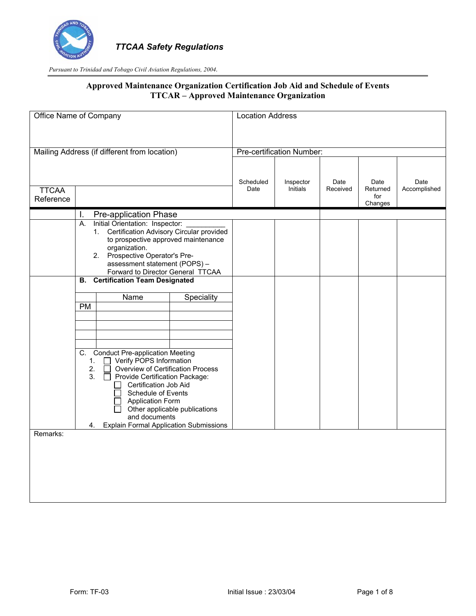

| Office Name of Company |                                                                                    | <b>Location Address</b> |                           |          |                 |              |
|------------------------|------------------------------------------------------------------------------------|-------------------------|---------------------------|----------|-----------------|--------------|
|                        |                                                                                    |                         |                           |          |                 |              |
|                        | Mailing Address (if different from location)                                       |                         | Pre-certification Number: |          |                 |              |
|                        |                                                                                    |                         |                           |          |                 |              |
|                        |                                                                                    | Scheduled               | Inspector                 | Date     | Date            | Date         |
| <b>TTCAA</b>           |                                                                                    | Date                    | Initials                  | Received | Returned<br>for | Accomplished |
| Reference              |                                                                                    |                         |                           |          | Changes         |              |
|                        | Pre-application Phase<br>I.                                                        |                         |                           |          |                 |              |
|                        | Initial Orientation: Inspector:<br>А.                                              |                         |                           |          |                 |              |
|                        | 1. Certification Advisory Circular provided<br>to prospective approved maintenance |                         |                           |          |                 |              |
|                        | organization.                                                                      |                         |                           |          |                 |              |
|                        | 2. Prospective Operator's Pre-                                                     |                         |                           |          |                 |              |
|                        | assessment statement (POPS) -                                                      |                         |                           |          |                 |              |
|                        | Forward to Director General TTCAA                                                  |                         |                           |          |                 |              |
|                        | <b>Certification Team Designated</b><br>В.                                         |                         |                           |          |                 |              |
|                        | Name<br>Speciality                                                                 |                         |                           |          |                 |              |
|                        | PM                                                                                 |                         |                           |          |                 |              |
|                        |                                                                                    |                         |                           |          |                 |              |
|                        |                                                                                    |                         |                           |          |                 |              |
|                        |                                                                                    |                         |                           |          |                 |              |
|                        |                                                                                    |                         |                           |          |                 |              |
|                        | C. Conduct Pre-application Meeting                                                 |                         |                           |          |                 |              |
|                        | $\Box$ Verify POPS Information<br>1.<br>2.<br>Overview of Certification Process    |                         |                           |          |                 |              |
|                        | 3.<br>Provide Certification Package:<br>$\Box$                                     |                         |                           |          |                 |              |
|                        | Certification Job Aid                                                              |                         |                           |          |                 |              |
|                        | Schedule of Events                                                                 |                         |                           |          |                 |              |
|                        | <b>Application Form</b>                                                            |                         |                           |          |                 |              |
|                        | Other applicable publications<br>and documents                                     |                         |                           |          |                 |              |
|                        | <b>Explain Formal Application Submissions</b><br>4.                                |                         |                           |          |                 |              |
| Remarks:               |                                                                                    |                         |                           |          |                 |              |
|                        |                                                                                    |                         |                           |          |                 |              |
|                        |                                                                                    |                         |                           |          |                 |              |
|                        |                                                                                    |                         |                           |          |                 |              |
|                        |                                                                                    |                         |                           |          |                 |              |
|                        |                                                                                    |                         |                           |          |                 |              |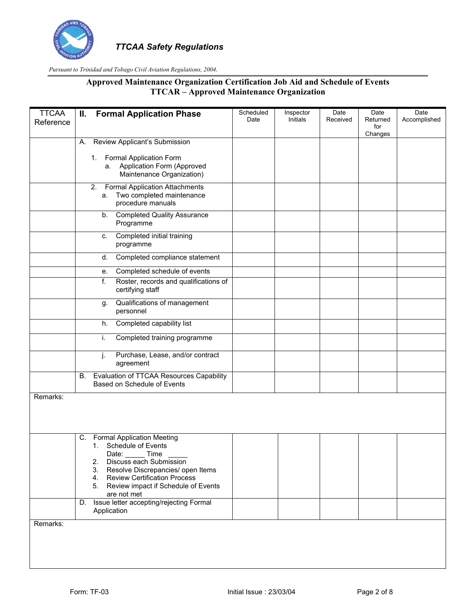

| <b>TTCAA</b> | II. Formal Application Phase                                                                        | Scheduled | Inspector | Date     | Date                       | Date         |
|--------------|-----------------------------------------------------------------------------------------------------|-----------|-----------|----------|----------------------------|--------------|
| Reference    |                                                                                                     | Date      | Initials  | Received | Returned<br>for<br>Changes | Accomplished |
|              | Review Applicant's Submission<br>А.                                                                 |           |           |          |                            |              |
|              | 1. Formal Application Form                                                                          |           |           |          |                            |              |
|              | Application Form (Approved<br>а.<br>Maintenance Organization)                                       |           |           |          |                            |              |
|              | <b>Formal Application Attachments</b><br>2.<br>Two completed maintenance<br>а.<br>procedure manuals |           |           |          |                            |              |
|              | <b>Completed Quality Assurance</b><br>b.<br>Programme                                               |           |           |          |                            |              |
|              | Completed initial training<br>c.<br>programme                                                       |           |           |          |                            |              |
|              | Completed compliance statement<br>d.                                                                |           |           |          |                            |              |
|              | Completed schedule of events<br>е.                                                                  |           |           |          |                            |              |
|              | f.<br>Roster, records and qualifications of<br>certifying staff                                     |           |           |          |                            |              |
|              | Qualifications of management<br>g.<br>personnel                                                     |           |           |          |                            |              |
|              | Completed capability list<br>h.                                                                     |           |           |          |                            |              |
|              | i.<br>Completed training programme                                                                  |           |           |          |                            |              |
|              | j.<br>Purchase, Lease, and/or contract<br>agreement                                                 |           |           |          |                            |              |
|              | Evaluation of TTCAA Resources Capability<br>В.<br>Based on Schedule of Events                       |           |           |          |                            |              |
| Remarks:     |                                                                                                     |           |           |          |                            |              |
|              |                                                                                                     |           |           |          |                            |              |
|              | <b>Formal Application Meeting</b><br>C.                                                             |           |           |          |                            |              |
|              | 1. Schedule of Events<br>Date: Time                                                                 |           |           |          |                            |              |
|              | Discuss each Submission<br>2.                                                                       |           |           |          |                            |              |
|              | 3.<br>Resolve Discrepancies/ open Items<br><b>Review Certification Process</b><br>4.                |           |           |          |                            |              |
|              | Review impact if Schedule of Events<br>5.<br>are not met                                            |           |           |          |                            |              |
|              | Issue letter accepting/rejecting Formal<br>D.<br>Application                                        |           |           |          |                            |              |
| Remarks:     |                                                                                                     |           |           |          |                            |              |
|              |                                                                                                     |           |           |          |                            |              |
|              |                                                                                                     |           |           |          |                            |              |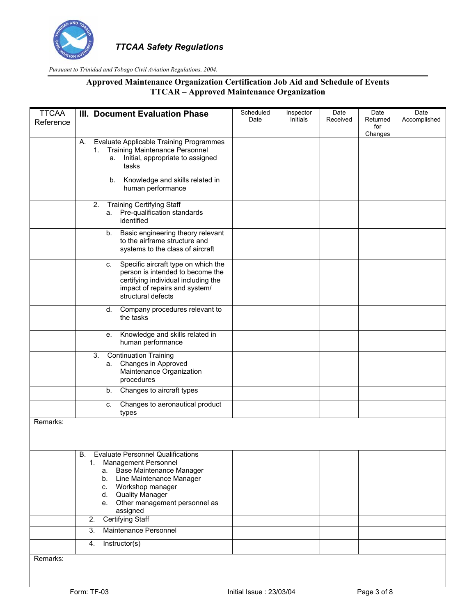

| <b>TTCAA</b><br>Reference | III. Document Evaluation Phase                                                                                                                                                                                                                              | Scheduled<br>Date | Inspector<br>Initials | Date<br>Received | Date<br>Returned<br>for | Date<br>Accomplished |
|---------------------------|-------------------------------------------------------------------------------------------------------------------------------------------------------------------------------------------------------------------------------------------------------------|-------------------|-----------------------|------------------|-------------------------|----------------------|
|                           | Evaluate Applicable Training Programmes<br>А.<br><b>Training Maintenance Personnel</b><br>1.<br>Initial, appropriate to assigned<br>а.<br>tasks                                                                                                             |                   |                       |                  | Changes                 |                      |
|                           | Knowledge and skills related in<br>b.<br>human performance                                                                                                                                                                                                  |                   |                       |                  |                         |                      |
|                           | <b>Training Certifying Staff</b><br>2.<br>Pre-qualification standards<br>а.<br>identified                                                                                                                                                                   |                   |                       |                  |                         |                      |
|                           | Basic engineering theory relevant<br>b.<br>to the airframe structure and<br>systems to the class of aircraft                                                                                                                                                |                   |                       |                  |                         |                      |
|                           | Specific aircraft type on which the<br>C.<br>person is intended to become the<br>certifying individual including the<br>impact of repairs and system/<br>structural defects                                                                                 |                   |                       |                  |                         |                      |
|                           | Company procedures relevant to<br>d.<br>the tasks                                                                                                                                                                                                           |                   |                       |                  |                         |                      |
|                           | Knowledge and skills related in<br>е.<br>human performance                                                                                                                                                                                                  |                   |                       |                  |                         |                      |
|                           | <b>Continuation Training</b><br>3.<br>Changes in Approved<br>а.<br>Maintenance Organization<br>procedures                                                                                                                                                   |                   |                       |                  |                         |                      |
|                           | Changes to aircraft types<br>b.                                                                                                                                                                                                                             |                   |                       |                  |                         |                      |
|                           | Changes to aeronautical product<br>c.<br>types                                                                                                                                                                                                              |                   |                       |                  |                         |                      |
| Remarks:                  |                                                                                                                                                                                                                                                             |                   |                       |                  |                         |                      |
|                           | <b>B.</b><br><b>Evaluate Personnel Qualifications</b><br>1. Management Personnel<br>Base Maintenance Manager<br>а.<br>b. Line Maintenance Manager<br>c. Workshop manager<br><b>Quality Manager</b><br>d.<br>Other management personnel as<br>е.<br>assigned |                   |                       |                  |                         |                      |
|                           | Certifying Staff<br>2.                                                                                                                                                                                                                                      |                   |                       |                  |                         |                      |
|                           | 3.<br>Maintenance Personnel                                                                                                                                                                                                                                 |                   |                       |                  |                         |                      |
|                           | Instructor(s)<br>4.                                                                                                                                                                                                                                         |                   |                       |                  |                         |                      |
| Remarks:                  |                                                                                                                                                                                                                                                             |                   |                       |                  |                         |                      |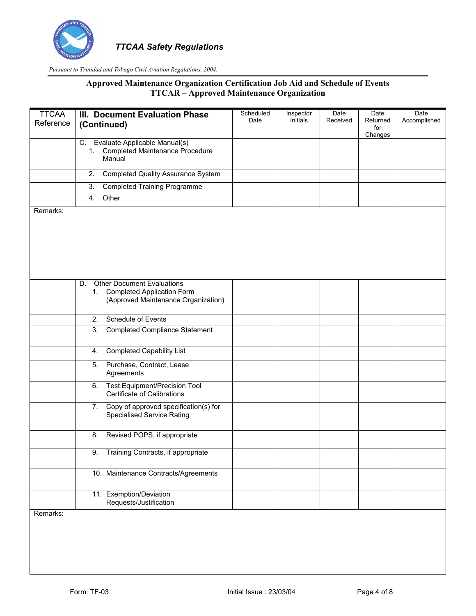

## **Approved Maintenance Organization Certification Job Aid and Schedule of Events TTCAR – Approved Maintenance Organization**

| <b>TTCAA</b> | III. Document Evaluation Phase                                                      | Scheduled<br>Date | Inspector<br>Initials | Date<br>Received | Date<br>Returned | Date<br>Accomplished |
|--------------|-------------------------------------------------------------------------------------|-------------------|-----------------------|------------------|------------------|----------------------|
| Reference    | (Continued)                                                                         |                   |                       |                  | for<br>Changes   |                      |
|              | Evaluate Applicable Manual(s)<br>C.<br>1. Completed Maintenance Procedure<br>Manual |                   |                       |                  |                  |                      |
|              | $\overline{2}$ .<br><b>Completed Quality Assurance System</b>                       |                   |                       |                  |                  |                      |
|              | 3.<br><b>Completed Training Programme</b>                                           |                   |                       |                  |                  |                      |
|              | Other<br>4.                                                                         |                   |                       |                  |                  |                      |
| Remarks:     |                                                                                     |                   |                       |                  |                  |                      |
|              |                                                                                     |                   |                       |                  |                  |                      |
|              |                                                                                     |                   |                       |                  |                  |                      |
|              |                                                                                     |                   |                       |                  |                  |                      |
|              |                                                                                     |                   |                       |                  |                  |                      |
|              |                                                                                     |                   |                       |                  |                  |                      |
|              | <b>Other Document Evaluations</b><br>D.<br>1.<br><b>Completed Application Form</b>  |                   |                       |                  |                  |                      |
|              | (Approved Maintenance Organization)                                                 |                   |                       |                  |                  |                      |
|              |                                                                                     |                   |                       |                  |                  |                      |
|              | Schedule of Events<br>2.                                                            |                   |                       |                  |                  |                      |
|              | $\overline{3}$ .<br><b>Completed Compliance Statement</b>                           |                   |                       |                  |                  |                      |
|              | <b>Completed Capability List</b><br>4.                                              |                   |                       |                  |                  |                      |
|              | 5.<br>Purchase, Contract, Lease<br>Agreements                                       |                   |                       |                  |                  |                      |
|              | <b>Test Equipment/Precision Tool</b><br>6.<br>Certificate of Calibrations           |                   |                       |                  |                  |                      |
|              | Copy of approved specification(s) for<br>7.<br><b>Specialised Service Rating</b>    |                   |                       |                  |                  |                      |
|              | Revised POPS, if appropriate<br>8.                                                  |                   |                       |                  |                  |                      |
|              | 9.<br>Training Contracts, if appropriate                                            |                   |                       |                  |                  |                      |
|              | 10. Maintenance Contracts/Agreements                                                |                   |                       |                  |                  |                      |
|              | 11. Exemption/Deviation<br>Requests/Justification                                   |                   |                       |                  |                  |                      |

Remarks: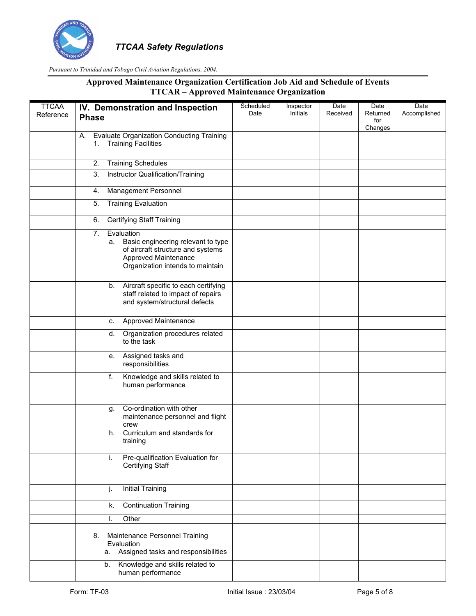

| <b>TTCAA</b><br>Reference | IV. Demonstration and Inspection<br><b>Phase</b>                                                                                                              | Scheduled<br>Date | Inspector<br>Initials | Date<br>Received | Date<br>Returned | Date<br>Accomplished |
|---------------------------|---------------------------------------------------------------------------------------------------------------------------------------------------------------|-------------------|-----------------------|------------------|------------------|----------------------|
|                           |                                                                                                                                                               |                   |                       |                  | for<br>Changes   |                      |
|                           | <b>Evaluate Organization Conducting Training</b><br>А.<br>1. Training Facilities                                                                              |                   |                       |                  |                  |                      |
|                           | <b>Training Schedules</b><br>2.                                                                                                                               |                   |                       |                  |                  |                      |
|                           | 3.<br>Instructor Qualification/Training                                                                                                                       |                   |                       |                  |                  |                      |
|                           | Management Personnel<br>4.                                                                                                                                    |                   |                       |                  |                  |                      |
|                           | <b>Training Evaluation</b><br>5.                                                                                                                              |                   |                       |                  |                  |                      |
|                           | <b>Certifying Staff Training</b><br>6.                                                                                                                        |                   |                       |                  |                  |                      |
|                           | Evaluation<br>7.<br>Basic engineering relevant to type<br>а.<br>of aircraft structure and systems<br>Approved Maintenance<br>Organization intends to maintain |                   |                       |                  |                  |                      |
|                           | Aircraft specific to each certifying<br>b.<br>staff related to impact of repairs<br>and system/structural defects                                             |                   |                       |                  |                  |                      |
|                           | Approved Maintenance<br>c.                                                                                                                                    |                   |                       |                  |                  |                      |
|                           | Organization procedures related<br>d.<br>to the task                                                                                                          |                   |                       |                  |                  |                      |
|                           | Assigned tasks and<br>е.<br>responsibilities                                                                                                                  |                   |                       |                  |                  |                      |
|                           | f.<br>Knowledge and skills related to<br>human performance                                                                                                    |                   |                       |                  |                  |                      |
|                           | Co-ordination with other<br>g.<br>maintenance personnel and flight<br>crew                                                                                    |                   |                       |                  |                  |                      |
|                           | Curriculum and standards for<br>h.<br>training                                                                                                                |                   |                       |                  |                  |                      |
|                           | Pre-qualification Evaluation for<br>i.<br>Certifying Staff                                                                                                    |                   |                       |                  |                  |                      |
|                           | <b>Initial Training</b><br>j.                                                                                                                                 |                   |                       |                  |                  |                      |
|                           | <b>Continuation Training</b><br>k.                                                                                                                            |                   |                       |                  |                  |                      |
|                           | Other<br>Ι.                                                                                                                                                   |                   |                       |                  |                  |                      |
|                           | Maintenance Personnel Training<br>8.<br>Evaluation<br>Assigned tasks and responsibilities<br>а.                                                               |                   |                       |                  |                  |                      |
|                           | Knowledge and skills related to<br>b.<br>human performance                                                                                                    |                   |                       |                  |                  |                      |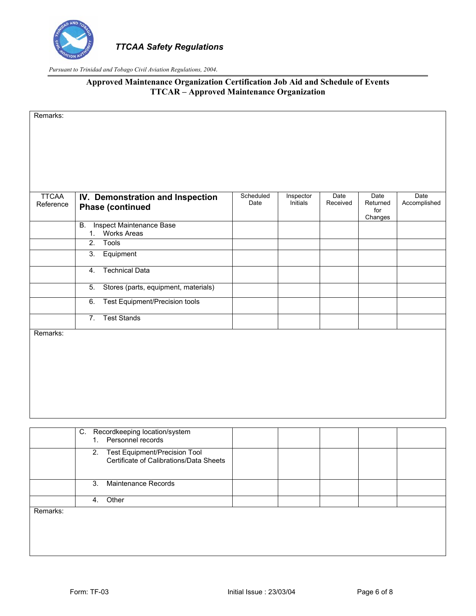

## **Approved Maintenance Organization Certification Job Aid and Schedule of Events TTCAR – Approved Maintenance Organization**

Remarks:

| TTCAA<br>Reference | IV. Demonstration and Inspection<br><b>Phase (continued</b> | Scheduled<br>Date | Inspector<br>Initials | Date<br>Received | Date<br>Returned<br>for<br>Changes | Date<br>Accomplished |
|--------------------|-------------------------------------------------------------|-------------------|-----------------------|------------------|------------------------------------|----------------------|
|                    | В.<br>Inspect Maintenance Base<br><b>Works Areas</b><br>1.  |                   |                       |                  |                                    |                      |
|                    | Tools<br>2.                                                 |                   |                       |                  |                                    |                      |
|                    | 3.<br>Equipment                                             |                   |                       |                  |                                    |                      |
|                    | Technical Data<br>4.                                        |                   |                       |                  |                                    |                      |
|                    | 5.<br>Stores (parts, equipment, materials)                  |                   |                       |                  |                                    |                      |
|                    | Test Equipment/Precision tools<br>6.                        |                   |                       |                  |                                    |                      |
|                    | <b>Test Stands</b><br>7.                                    |                   |                       |                  |                                    |                      |

Remarks:

|                              |               | C. Recordkeeping location/system<br>1. Personnel records                    |  |  |  |
|------------------------------|---------------|-----------------------------------------------------------------------------|--|--|--|
|                              |               | 2. Test Equipment/Precision Tool<br>Certificate of Calibrations/Data Sheets |  |  |  |
|                              | $\mathcal{S}$ | Maintenance Records                                                         |  |  |  |
|                              |               | Other                                                                       |  |  |  |
| $\mathbf{D}$ and a subset of |               |                                                                             |  |  |  |

Remarks: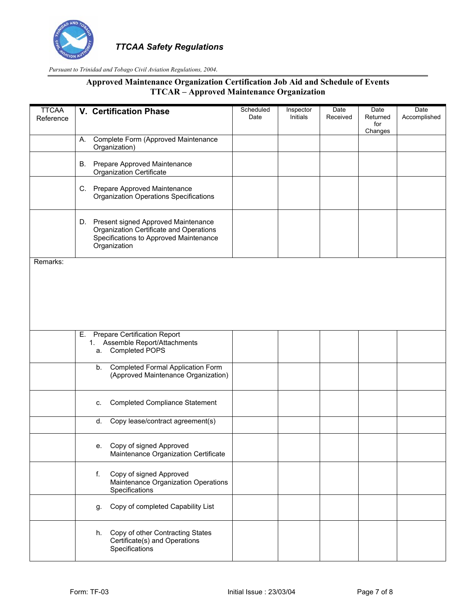

| <b>TTCAA</b><br>Reference |          | V. Certification Phase                                                                                                                      | Scheduled<br>Date | Inspector<br><b>Initials</b> | Date<br>Received | Date<br>Returned | Date<br>Accomplished |
|---------------------------|----------|---------------------------------------------------------------------------------------------------------------------------------------------|-------------------|------------------------------|------------------|------------------|----------------------|
|                           |          |                                                                                                                                             |                   |                              |                  | for<br>Changes   |                      |
|                           | Α.       | Complete Form (Approved Maintenance<br>Organization)                                                                                        |                   |                              |                  |                  |                      |
|                           |          | B. Prepare Approved Maintenance<br><b>Organization Certificate</b>                                                                          |                   |                              |                  |                  |                      |
|                           |          | C. Prepare Approved Maintenance<br><b>Organization Operations Specifications</b>                                                            |                   |                              |                  |                  |                      |
|                           |          | D. Present signed Approved Maintenance<br>Organization Certificate and Operations<br>Specifications to Approved Maintenance<br>Organization |                   |                              |                  |                  |                      |
| Remarks:                  |          |                                                                                                                                             |                   |                              |                  |                  |                      |
|                           |          |                                                                                                                                             |                   |                              |                  |                  |                      |
|                           |          |                                                                                                                                             |                   |                              |                  |                  |                      |
|                           |          |                                                                                                                                             |                   |                              |                  |                  |                      |
|                           | Е.<br>a. | <b>Prepare Certification Report</b><br>1. Assemble Report/Attachments<br>Completed POPS                                                     |                   |                              |                  |                  |                      |
|                           | b.       | <b>Completed Formal Application Form</b><br>(Approved Maintenance Organization)                                                             |                   |                              |                  |                  |                      |
|                           | c.       | <b>Completed Compliance Statement</b>                                                                                                       |                   |                              |                  |                  |                      |
|                           | d.       | Copy lease/contract agreement(s)                                                                                                            |                   |                              |                  |                  |                      |
|                           | е.       | Copy of signed Approved<br>Maintenance Organization Certificate                                                                             |                   |                              |                  |                  |                      |
|                           | f.       | Copy of signed Approved<br>Maintenance Organization Operations<br>Specifications                                                            |                   |                              |                  |                  |                      |
|                           | g.       | Copy of completed Capability List                                                                                                           |                   |                              |                  |                  |                      |
|                           | h.       | Copy of other Contracting States<br>Certificate(s) and Operations<br>Specifications                                                         |                   |                              |                  |                  |                      |